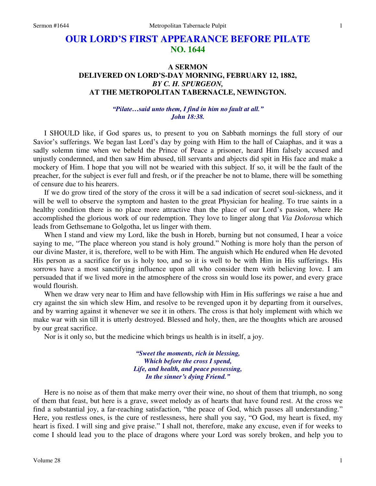# **OUR LORD'S FIRST APPEARANCE BEFORE PILATE NO. 1644**

## **A SERMON DELIVERED ON LORD'S-DAY MORNING, FEBRUARY 12, 1882,**  *BY C. H. SPURGEON,*  **AT THE METROPOLITAN TABERNACLE, NEWINGTON.**

## *"Pilate…said unto them, I find in him no fault at all." John 18:38.*

I SHOULD like, if God spares us, to present to you on Sabbath mornings the full story of our Savior's sufferings. We began last Lord's day by going with Him to the hall of Caiaphas, and it was a sadly solemn time when we beheld the Prince of Peace a prisoner, heard Him falsely accused and unjustly condemned, and then saw Him abused, till servants and abjects did spit in His face and make a mockery of Him. I hope that you will not be wearied with this subject. If so, it will be the fault of the preacher, for the subject is ever full and fresh, or if the preacher be not to blame, there will be something of censure due to his hearers.

 If we do grow tired of the story of the cross it will be a sad indication of secret soul-sickness, and it will be well to observe the symptom and hasten to the great Physician for healing. To true saints in a healthy condition there is no place more attractive than the place of our Lord's passion, where He accomplished the glorious work of our redemption. They love to linger along that *Via Dolorosa* which leads from Gethsemane to Golgotha, let us linger with them.

 When I stand and view my Lord, like the bush in Horeb, burning but not consumed, I hear a voice saying to me, "The place whereon you stand is holy ground." Nothing is more holy than the person of our divine Master, it is, therefore, well to be with Him. The anguish which He endured when He devoted His person as a sacrifice for us is holy too, and so it is well to be with Him in His sufferings. His sorrows have a most sanctifying influence upon all who consider them with believing love. I am persuaded that if we lived more in the atmosphere of the cross sin would lose its power, and every grace would flourish.

 When we draw very near to Him and have fellowship with Him in His sufferings we raise a hue and cry against the sin which slew Him, and resolve to be revenged upon it by departing from it ourselves, and by warring against it whenever we see it in others. The cross is that holy implement with which we make war with sin till it is utterly destroyed. Blessed and holy, then, are the thoughts which are aroused by our great sacrifice.

Nor is it only so, but the medicine which brings us health is in itself, a joy.

*"Sweet the moments, rich in blessing, Which before the cross I spend, Life, and health, and peace possessing, In the sinner's dying Friend."*

Here is no noise as of them that make merry over their wine, no shout of them that triumph, no song of them that feast, but here is a grave, sweet melody as of hearts that have found rest. At the cross we find a substantial joy, a far-reaching satisfaction, "the peace of God, which passes all understanding." Here, you restless ones, is the cure of restlessness, here shall you say, "O God, my heart is fixed, my heart is fixed. I will sing and give praise." I shall not, therefore, make any excuse, even if for weeks to come I should lead you to the place of dragons where your Lord was sorely broken, and help you to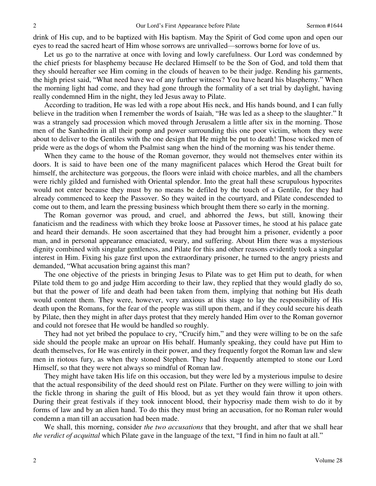drink of His cup, and to be baptized with His baptism. May the Spirit of God come upon and open our eyes to read the sacred heart of Him whose sorrows are unrivalled—sorrows borne for love of us.

 Let us go to the narrative at once with loving and lowly carefulness. Our Lord was condemned by the chief priests for blasphemy because He declared Himself to be the Son of God, and told them that they should hereafter see Him coming in the clouds of heaven to be their judge. Rending his garments, the high priest said, "What need have we of any further witness? You have heard his blasphemy." When the morning light had come, and they had gone through the formality of a set trial by daylight, having really condemned Him in the night, they led Jesus away to Pilate.

 According to tradition, He was led with a rope about His neck, and His hands bound, and I can fully believe in the tradition when I remember the words of Isaiah, "He was led as a sheep to the slaughter." It was a strangely sad procession which moved through Jerusalem a little after six in the morning. Those men of the Sanhedrin in all their pomp and power surrounding this one poor victim, whom they were about to deliver to the Gentiles with the one design that He might be put to death! Those wicked men of pride were as the dogs of whom the Psalmist sang when the hind of the morning was his tender theme.

 When they came to the house of the Roman governor, they would not themselves enter within its doors. It is said to have been one of the many magnificent palaces which Herod the Great built for himself, the architecture was gorgeous, the floors were inlaid with choice marbles, and all the chambers were richly gilded and furnished with Oriental splendor. Into the great hall these scrupulous hypocrites would not enter because they must by no means be defiled by the touch of a Gentile, for they had already commenced to keep the Passover. So they waited in the courtyard, and Pilate condescended to come out to them, and learn the pressing business which brought them there so early in the morning.

 The Roman governor was proud, and cruel, and abhorred the Jews, but still, knowing their fanaticism and the readiness with which they broke loose at Passover times, he stood at his palace gate and heard their demands. He soon ascertained that they had brought him a prisoner, evidently a poor man, and in personal appearance emaciated, weary, and suffering. About Him there was a mysterious dignity combined with singular gentleness, and Pilate for this and other reasons evidently took a singular interest in Him. Fixing his gaze first upon the extraordinary prisoner, he turned to the angry priests and demanded, "What accusation bring against this man?

 The one objective of the priests in bringing Jesus to Pilate was to get Him put to death, for when Pilate told them to go and judge Him according to their law, they replied that they would gladly do so, but that the power of life and death had been taken from them, implying that nothing but His death would content them. They were, however, very anxious at this stage to lay the responsibility of His death upon the Romans, for the fear of the people was still upon them, and if they could secure his death by Pilate, then they might in after days protest that they merely handed Him over to the Roman governor and could not foresee that He would be handled so roughly.

 They had not yet bribed the populace to cry, "Crucify him," and they were willing to be on the safe side should the people make an uproar on His behalf. Humanly speaking, they could have put Him to death themselves, for He was entirely in their power, and they frequently forgot the Roman law and slew men in riotous fury, as when they stoned Stephen. They had frequently attempted to stone our Lord Himself, so that they were not always so mindful of Roman law.

 They might have taken His life on this occasion, but they were led by a mysterious impulse to desire that the actual responsibility of the deed should rest on Pilate. Further on they were willing to join with the fickle throng in sharing the guilt of His blood, but as yet they would fain throw it upon others. During their great festivals if they took innocent blood, their hypocrisy made them wish to do it by forms of law and by an alien hand. To do this they must bring an accusation, for no Roman ruler would condemn a man till an accusation had been made.

 We shall, this morning, consider *the two accusations* that they brought, and after that we shall hear *the verdict of acquittal* which Pilate gave in the language of the text, "I find in him no fault at all."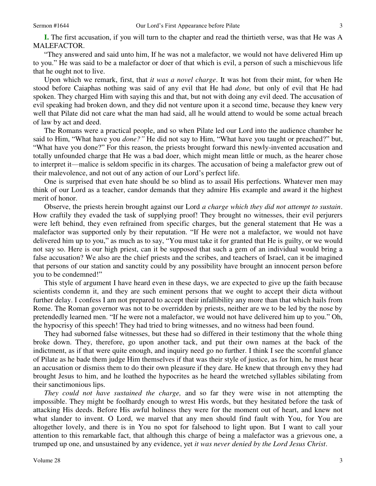**I.** The first accusation, if you will turn to the chapter and read the thirtieth verse, was that He was A MALEFACTOR.

"They answered and said unto him, If he was not a malefactor, we would not have delivered Him up to you." He was said to be a malefactor or doer of that which is evil, a person of such a mischievous life that he ought not to live.

 Upon which we remark, first, that *it was a novel charge*. It was hot from their mint, for when He stood before Caiaphas nothing was said of any evil that He had *done,* but only of evil that He had spoken. They charged Him with saying this and that, but not with doing any evil deed. The accusation of evil speaking had broken down, and they did not venture upon it a second time, because they knew very well that Pilate did not care what the man had said, all he would attend to would be some actual breach of law by act and deed.

 The Romans were a practical people, and so when Pilate led our Lord into the audience chamber he said to Him, "What have you *done?"* He did not say to Him, "What have you taught or preached?" but, "What have you done?" For this reason, the priests brought forward this newly-invented accusation and totally unfounded charge that He was a bad doer, which might mean little or much, as the hearer chose to interpret it—malice is seldom specific in its charges. The accusation of being a malefactor grew out of their malevolence, and not out of any action of our Lord's perfect life.

 One is surprised that even hate should be so blind as to assail His perfections. Whatever men may think of our Lord as a teacher, candor demands that they admire His example and award it the highest merit of honor.

 Observe, the priests herein brought against our Lord *a charge which they did not attempt to sustain*. How craftily they evaded the task of supplying proof! They brought no witnesses, their evil perjurers were left behind, they even refrained from specific charges, but the general statement that He was a malefactor was supported only by their reputation. "If He were not a malefactor, we would not have delivered him up to you," as much as to say, "You must take it for granted that He is guilty, or we would not say so. Here is our high priest, can it be supposed that such a gem of an individual would bring a false accusation? We also are the chief priests and the scribes, and teachers of Israel, can it be imagined that persons of our station and sanctity could by any possibility have brought an innocent person before you to be condemned!"

 This style of argument I have heard even in these days, we are expected to give up the faith because scientists condemn it, and they are such eminent persons that we ought to accept their dicta without further delay. I confess I am not prepared to accept their infallibility any more than that which hails from Rome. The Roman governor was not to be overridden by priests, neither are we to be led by the nose by pretendedly learned men. "If he were not a malefactor, we would not have delivered him up to you." Oh, the hypocrisy of this speech! They had tried to bring witnesses, and no witness had been found.

 They had suborned false witnesses, but these had so differed in their testimony that the whole thing broke down. They, therefore, go upon another tack, and put their own names at the back of the indictment, as if that were quite enough, and inquiry need go no further. I think I see the scornful glance of Pilate as he bade them judge Him themselves if that was their style of justice, as for him, he must hear an accusation or dismiss them to do their own pleasure if they dare. He knew that through envy they had brought Jesus to him, and he loathed the hypocrites as he heard the wretched syllables sibilating from their sanctimonious lips.

*They could not have sustained the charge,* and so far they were wise in not attempting the impossible. They might be foolhardy enough to wrest His words, but they hesitated before the task of attacking His deeds. Before His awful holiness they were for the moment out of heart, and knew not what slander to invent. O Lord, we marvel that any men should find fault with You, for You are altogether lovely, and there is in You no spot for falsehood to light upon. But I want to call your attention to this remarkable fact, that although this charge of being a malefactor was a grievous one, a trumped up one, and unsustained by any evidence, yet *it was never denied by the Lord Jesus Christ*.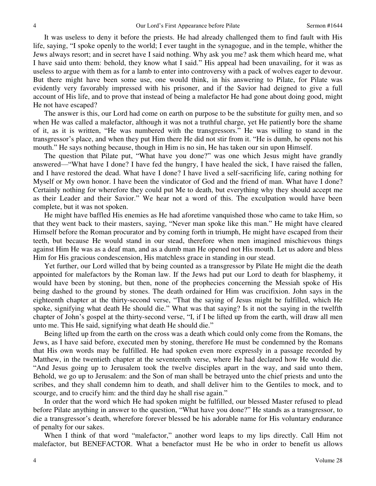It was useless to deny it before the priests. He had already challenged them to find fault with His life, saying, "I spoke openly to the world; I ever taught in the synagogue, and in the temple, whither the Jews always resort; and in secret have I said nothing. Why ask you me? ask them which heard me, what I have said unto them: behold, they know what I said." His appeal had been unavailing, for it was as useless to argue with them as for a lamb to enter into controversy with a pack of wolves eager to devour. But there might have been some use, one would think, in his answering to Pilate, for Pilate was evidently very favorably impressed with his prisoner, and if the Savior had deigned to give a full account of His life, and to prove that instead of being a malefactor He had gone about doing good, might He not have escaped?

 The answer is this, our Lord had come on earth on purpose to be the substitute for guilty men, and so when He was called a malefactor, although it was not a truthful charge, yet He patiently bore the shame of it, as it is written, "He was numbered with the transgressors." He was willing to stand in the transgressor's place, and when they put Him there He did not stir from it. "He is dumb, he opens not his mouth." He says nothing because, though in Him is no sin, He has taken our sin upon Himself.

 The question that Pilate put, "What have you done?" was one which Jesus might have grandly answered—"What have I done? I have fed the hungry, I have healed the sick, I have raised the fallen, and I have restored the dead. What have I done? I have lived a self-sacrificing life, caring nothing for Myself or My own honor. I have been the vindicator of God and the friend of man. What have I done? Certainly nothing for wherefore they could put Me to death, but everything why they should accept me as their Leader and their Savior." We hear not a word of this. The exculpation would have been complete, but it was not spoken.

 He might have baffled His enemies as He had aforetime vanquished those who came to take Him, so that they went back to their masters, saying, "Never man spoke like this man." He might have cleared Himself before the Roman procurator and by coming forth in triumph, He might have escaped from their teeth, but because He would stand in our stead, therefore when men imagined mischievous things against Him He was as a deaf man, and as a dumb man He opened not His mouth. Let us adore and bless Him for His gracious condescension, His matchless grace in standing in our stead.

 Yet further, our Lord willed that by being counted as a transgressor by Pilate He might die the death appointed for malefactors by the Roman law. If the Jews had put our Lord to death for blasphemy, it would have been by stoning, but then, none of the prophecies concerning the Messiah spoke of His being dashed to the ground by stones. The death ordained for Him was crucifixion. John says in the eighteenth chapter at the thirty-second verse, "That the saying of Jesus might be fulfilled, which He spoke, signifying what death He should die." What was that saying? Is it not the saying in the twelfth chapter of John's gospel at the thirty-second verse, "I, if I be lifted up from the earth, will draw all men unto me. This He said, signifying what death He should die."

 Being lifted up from the earth on the cross was a death which could only come from the Romans, the Jews, as I have said before, executed men by stoning, therefore He must be condemned by the Romans that His own words may be fulfilled. He had spoken even more expressly in a passage recorded by Matthew, in the twentieth chapter at the seventeenth verse, where He had declared how He would die. "And Jesus going up to Jerusalem took the twelve disciples apart in the way, and said unto them, Behold, we go up to Jerusalem: and the Son of man shall be betrayed unto the chief priests and unto the scribes, and they shall condemn him to death, and shall deliver him to the Gentiles to mock, and to scourge, and to crucify him: and the third day he shall rise again."

 In order that the word which He had spoken might be fulfilled, our blessed Master refused to plead before Pilate anything in answer to the question, "What have you done?" He stands as a transgressor, to die a transgressor's death, wherefore forever blessed be his adorable name for His voluntary endurance of penalty for our sakes.

 When I think of that word "malefactor," another word leaps to my lips directly. Call Him not malefactor, but BENEFACTOR. What a benefactor must He be who in order to benefit us allows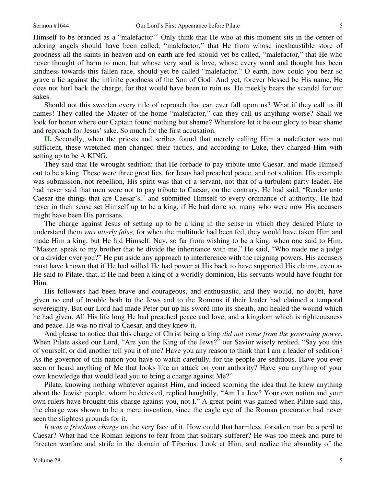Himself to be branded as a "malefactor!" Only think that He who at this moment sits in the center of adoring angels should have been called, "malefactor," that He from whose inexhaustible store of goodness all the saints in heaven and on earth are fed should yet be called, "malefactor," that He who never thought of harm to men, but whose very soul is love, whose every word and thought has been kindness towards this fallen race, should yet be called "malefactor." O earth, how could you bear so grave a lie against the infinite goodness of the Son of God! And yet, forever blessed be His name, He does not hurl back the charge, for that would have been to ruin us. He meekly bears the scandal for our sakes.

 Should not this sweeten every title of reproach that can ever fall upon us? What if they call us ill names! They called the Master of the home "malefactor," can they call us anything worse? Shall we look for honor where our Captain found nothing but shame? Wherefore let it be our glory to bear shame and reproach for Jesus' sake. So much for the first accusation.

**II.** Secondly, when the priests and scribes found that merely calling Him a malefactor was not sufficient, these wretched men changed their tactics, and according to Luke, they charged Him with setting up to be A KING.

They said that He wrought sedition; that He forbade to pay tribute unto Caesar, and made Himself out to be a king. These were three great lies, for Jesus had preached peace, and not sedition, His example was submission, not rebellion, His spirit was that of a servant, not that of a turbulent party leader. He had never said that men were not to pay tribute to Caesar, on the contrary, He had said, "Render unto Caesar the things that are Caesar's," and submitted Himself to every ordinance of authority. He had never in their sense set Himself up to be a king, if He had done so, many who were now His accusers might have been His partisans.

 The charge against Jesus of setting up to be a king in the sense in which they desired Pilate to understand them *was utterly false,* for when the multitude had been fed, they would have taken Him and made Him a king, but He hid Himself. Nay, so far from wishing to be a king, when one said to Him, "Master, speak to my brother that he divide the inheritance with me," He said, "Who made me a judge or a divider over you?" He put aside any approach to interference with the reigning powers. His accusers must have known that if He had willed He had power at His back to have supported His claims, even as He said to Pilate, that, if He had been a king of a worldly dominion, His servants would have fought for Him.

 His followers had been brave and courageous, and enthusiastic, and they would, no doubt, have given no end of trouble both to the Jews and to the Romans if their leader had claimed a temporal sovereignty. But our Lord had made Peter put up his sword into its sheath, and healed the wound which he had given. All His life long He had preached peace and love, and a kingdom which is righteousness and peace. He was no rival to Caesar, and they knew it.

 And please to notice that this charge of Christ being a king *did not come from the governing power.* When Pilate asked our Lord, "Are you the King of the Jews?" our Savior wisely replied, "Say you this of yourself, or did another tell you it of me? Have you any reason to think that I am a leader of sedition? As the governor of this nation you have to watch carefully, for the people are seditious. Have you ever seen or heard anything of Me that looks like an attack on your authority? Have you anything of your own knowledge that would lead you to bring a charge against Me?"

 Pilate, knowing nothing whatever against Him, and indeed scorning the idea that he knew anything about the Jewish people, whom he detested, replied haughtily, "Am I a Jew? Your own nation and your own rulers have brought this charge against you, not I." A great point was gained when Pilate said this, the charge was shown to be a mere invention, since the eagle eye of the Roman procurator had never seen the slightest grounds for it.

*It was a frivolous charge* on the very face of it. How could that harmless, forsaken man be a peril to Caesar? What had the Roman legions to fear from that solitary sufferer? He was too meek and pure to threaten warfare and strife in the domain of Tiberius. Look at Him, and realize the absurdity of the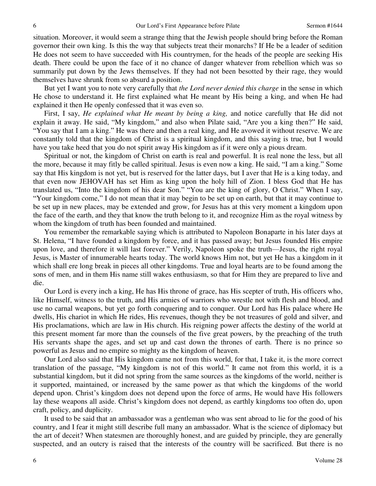situation. Moreover, it would seem a strange thing that the Jewish people should bring before the Roman governor their own king. Is this the way that subjects treat their monarchs? If He be a leader of sedition He does not seem to have succeeded with His countrymen, for the heads of the people are seeking His death. There could be upon the face of it no chance of danger whatever from rebellion which was so summarily put down by the Jews themselves. If they had not been besotted by their rage, they would themselves have shrunk from so absurd a position.

 But yet I want you to note very carefully that *the Lord never denied this charge* in the sense in which He chose to understand it. He first explained what He meant by His being a king, and when He had explained it then He openly confessed that it was even so.

 First, I say, *He explained what He meant by being a king,* and notice carefully that He did not explain it away. He said, "My kingdom," and also when Pilate said, "Are you a king then?" He said, "You say that I am a king." He was there and then a real king, and He avowed it without reserve. We are constantly told that the kingdom of Christ is a spiritual kingdom, and this saying is true, but I would have you take heed that you do not spirit away His kingdom as if it were only a pious dream.

 Spiritual or not, the kingdom of Christ on earth is real and powerful. It is real none the less, but all the more, because it may fitly be called spiritual. Jesus is even now a king. He said, "I am a king." Some say that His kingdom is not yet, but is reserved for the latter days, but I aver that He is a king today, and that even now JEHOVAH has set Him as king upon the holy hill of Zion. I bless God that He has translated us, "Into the kingdom of his dear Son." "You are the king of glory, O Christ." When I say, "Your kingdom come," I do not mean that it may begin to be set up on earth, but that it may continue to be set up in new places, may be extended and grow, for Jesus has at this very moment a kingdom upon the face of the earth, and they that know the truth belong to it, and recognize Him as the royal witness by whom the kingdom of truth has been founded and maintained.

 You remember the remarkable saying which is attributed to Napoleon Bonaparte in his later days at St. Helena, "I have founded a kingdom by force, and it has passed away; but Jesus founded His empire upon love, and therefore it will last forever." Verily, Napoleon spoke the truth—Jesus, the right royal Jesus, is Master of innumerable hearts today. The world knows Him not, but yet He has a kingdom in it which shall ere long break in pieces all other kingdoms. True and loyal hearts are to be found among the sons of men, and in them His name still wakes enthusiasm, so that for Him they are prepared to live and die.

 Our Lord is every inch a king, He has His throne of grace, has His scepter of truth, His officers who, like Himself, witness to the truth, and His armies of warriors who wrestle not with flesh and blood, and use no carnal weapons, but yet go forth conquering and to conquer. Our Lord has His palace where He dwells, His chariot in which He rides, His revenues, though they be not treasures of gold and silver, and His proclamations, which are law in His church. His reigning power affects the destiny of the world at this present moment far more than the counsels of the five great powers, by the preaching of the truth His servants shape the ages, and set up and cast down the thrones of earth. There is no prince so powerful as Jesus and no empire so mighty as the kingdom of heaven.

 Our Lord also said that His kingdom came not from this world, for that, I take it, is the more correct translation of the passage, "My kingdom is not of this world." It came not from this world, it is a substantial kingdom, but it did not spring from the same sources as the kingdoms of the world, neither is it supported, maintained, or increased by the same power as that which the kingdoms of the world depend upon. Christ's kingdom does not depend upon the force of arms, He would have His followers lay these weapons all aside. Christ's kingdom does not depend, as earthly kingdoms too often do, upon craft, policy, and duplicity.

 It used to be said that an ambassador was a gentleman who was sent abroad to lie for the good of his country, and I fear it might still describe full many an ambassador. What is the science of diplomacy but the art of deceit? When statesmen are thoroughly honest, and are guided by principle, they are generally suspected, and an outcry is raised that the interests of the country will be sacrificed. But there is no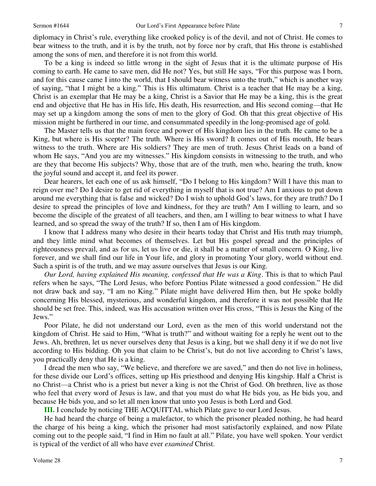diplomacy in Christ's rule, everything like crooked policy is of the devil, and not of Christ. He comes to bear witness to the truth, and it is by the truth, not by force nor by craft, that His throne is established among the sons of men, and therefore it is not from this world.

 To be a king is indeed so little wrong in the sight of Jesus that it is the ultimate purpose of His coming to earth. He came to save men, did He not? Yes, but still He says, "For this purpose was I born, and for this cause came I into the world, that I should bear witness unto the truth," which is another way of saying, "that I might be a king." This is His ultimatum. Christ is a teacher that He may be a king, Christ is an exemplar that He may be a king, Christ is a Savior that He may be a king, this is the great end and objective that He has in His life, His death, His resurrection, and His second coming—that He may set up a kingdom among the sons of men to the glory of God. Oh that this great objective of His mission might be furthered in our time, and consummated speedily in the long-promised age of gold.

 The Master tells us that the main force and power of His kingdom lies in the truth. He came to be a King, but where is His scepter? The truth. Where is His sword? It comes out of His mouth, He bears witness to the truth. Where are His soldiers? They are men of truth. Jesus Christ leads on a band of whom He says, "And you are my witnesses." His kingdom consists in witnessing to the truth, and who are they that become His subjects? Why, those that are of the truth, men who, hearing the truth, know the joyful sound and accept it, and feel its power.

 Dear hearers, let each one of us ask himself, "Do I belong to His kingdom? Will I have this man to reign over me? Do I desire to get rid of everything in myself that is not true? Am I anxious to put down around me everything that is false and wicked? Do I wish to uphold God's laws, for they are truth? Do I desire to spread the principles of love and kindness, for they are truth? Am I willing to learn, and so become the disciple of the greatest of all teachers, and then, am I willing to bear witness to what I have learned, and so spread the sway of the truth? If so, then I am of His kingdom.

 I know that I address many who desire in their hearts today that Christ and His truth may triumph, and they little mind what becomes of themselves. Let but His gospel spread and the principles of righteousness prevail, and as for us, let us live or die, it shall be a matter of small concern. O King, live forever, and we shall find our life in Your life, and glory in promoting Your glory, world without end. Such a spirit is of the truth, and we may assure ourselves that Jesus is our King.

*Our Lord, having explained His meaning, confessed that He was a King*. This is that to which Paul refers when he says, "The Lord Jesus, who before Pontius Pilate witnessed a good confession." He did not draw back and say, "I am no King." Pilate might have delivered Him then, but He spoke boldly concerning His blessed, mysterious, and wonderful kingdom, and therefore it was not possible that He should be set free. This, indeed, was His accusation written over His cross, "This is Jesus the King of the Jews."

 Poor Pilate, he did not understand our Lord, even as the men of this world understand not the kingdom of Christ. He said to Him, "What is truth?" and without waiting for a reply he went out to the Jews. Ah, brethren, let us never ourselves deny that Jesus is a king, but we shall deny it if we do not live according to His bidding. Oh you that claim to be Christ's, but do not live according to Christ's laws, you practically deny that He is a king.

 I dread the men who say, "We believe, and therefore we are saved," and then do not live in holiness, for these divide our Lord's offices, setting up His priesthood and denying His kingship. Half a Christ is no Christ—a Christ who is a priest but never a king is not the Christ of God. Oh brethren, live as those who feel that every word of Jesus is law, and that you must do what He bids you, as He bids you, and because He bids you, and so let all men know that unto you Jesus is both Lord and God.

**III.** I conclude by noticing THE ACQUITTAL which Pilate gave to our Lord Jesus.

 He had heard the charge of being a malefactor, to which the prisoner pleaded nothing, he had heard the charge of his being a king, which the prisoner had most satisfactorily explained, and now Pilate coming out to the people said, "I find in Him no fault at all." Pilate, you have well spoken. Your verdict is typical of the verdict of all who have ever *examined* Christ.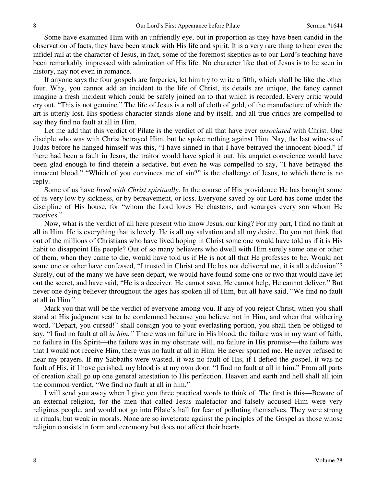Some have examined Him with an unfriendly eye, but in proportion as they have been candid in the observation of facts, they have been struck with His life and spirit. It is a very rare thing to hear even the infidel rail at the character of Jesus, in fact, some of the foremost skeptics as to our Lord's teaching have been remarkably impressed with admiration of His life. No character like that of Jesus is to be seen in history, nay not even in romance.

 If anyone says the four gospels are forgeries, let him try to write a fifth, which shall be like the other four. Why, you cannot add an incident to the life of Christ, its details are unique, the fancy cannot imagine a fresh incident which could be safely joined on to that which is recorded. Every critic would cry out, "This is not genuine." The life of Jesus is a roll of cloth of gold, of the manufacture of which the art is utterly lost. His spotless character stands alone and by itself, and all true critics are compelled to say they find no fault at all in Him.

 Let me add that this verdict of Pilate is the verdict of all that have ever *associated* with Christ. One disciple who was with Christ betrayed Him, but he spoke nothing against Him. Nay, the last witness of Judas before he hanged himself was this, "I have sinned in that I have betrayed the innocent blood." If there had been a fault in Jesus, the traitor would have spied it out, his unquiet conscience would have been glad enough to find therein a sedative, but even he was compelled to say, "I have betrayed the innocent blood." "Which of you convinces me of sin?" is the challenge of Jesus, to which there is no reply.

 Some of us have *lived with Christ spiritually*. In the course of His providence He has brought some of us very low by sickness, or by bereavement, or loss. Everyone saved by our Lord has come under the discipline of His house, for "whom the Lord loves He chastens, and scourges every son whom He receives."

 Now, what is the verdict of all here present who know Jesus, our king? For my part, I find no fault at all in Him. He is everything that is lovely. He is all my salvation and all my desire. Do you not think that out of the millions of Christians who have lived hoping in Christ some one would have told us if it is His habit to disappoint His people? Out of so many believers who dwell with Him surely some one or other of them, when they came to die, would have told us if He is not all that He professes to be. Would not some one or other have confessed, "I trusted in Christ and He has not delivered me, it is all a delusion"? Surely, out of the many we have seen depart, we would have found some one or two that would have let out the secret, and have said, "He is a deceiver. He cannot save, He cannot help, He cannot deliver." But never one dying believer throughout the ages has spoken ill of Him, but all have said, "We find no fault at all in Him."

 Mark you that will be the verdict of everyone among you. If any of you reject Christ, when you shall stand at His judgment seat to be condemned because you believe not in Him, and when that withering word, "Depart, you cursed!" shall consign you to your everlasting portion, you shall then be obliged to say, "I find no fault at all *in him."* There was no failure in His blood, the failure was in my want of faith, no failure in His Spirit—the failure was in my obstinate will, no failure in His promise—the failure was that I would not receive Him, there was no fault at all in Him. He never spurned me. He never refused to hear my prayers. If my Sabbaths were wasted, it was no fault of His, if I defied the gospel, it was no fault of His, if I have perished, my blood is at my own door. "I find no fault at all in him." From all parts of creation shall go up one general attestation to His perfection. Heaven and earth and hell shall all join the common verdict, "We find no fault at all in him."

 I will send you away when I give you three practical words to think of. The first is this—Beware of an external religion, for the men that called Jesus malefactor and falsely accused Him were very religious people, and would not go into Pilate's hall for fear of polluting themselves. They were strong in rituals, but weak in morals. None are so inveterate against the principles of the Gospel as those whose religion consists in form and ceremony but does not affect their hearts.